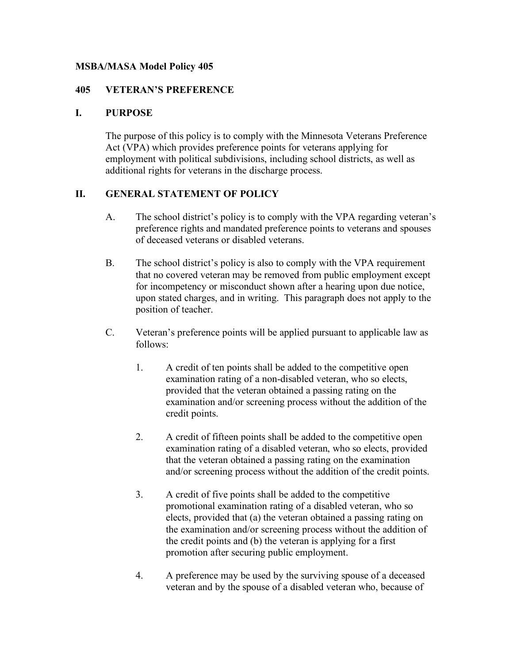### **MSBA/MASA Model Policy 405**

### **405 VETERAN'S PREFERENCE**

## **I. PURPOSE**

The purpose of this policy is to comply with the Minnesota Veterans Preference Act (VPA) which provides preference points for veterans applying for employment with political subdivisions, including school districts, as well as additional rights for veterans in the discharge process.

# **II. GENERAL STATEMENT OF POLICY**

- A. The school district's policy is to comply with the VPA regarding veteran's preference rights and mandated preference points to veterans and spouses of deceased veterans or disabled veterans.
- B. The school district's policy is also to comply with the VPA requirement that no covered veteran may be removed from public employment except for incompetency or misconduct shown after a hearing upon due notice, upon stated charges, and in writing. This paragraph does not apply to the position of teacher.
- C. Veteran's preference points will be applied pursuant to applicable law as follows:
	- 1. A credit of ten points shall be added to the competitive open examination rating of a non-disabled veteran, who so elects, provided that the veteran obtained a passing rating on the examination and/or screening process without the addition of the credit points.
	- 2. A credit of fifteen points shall be added to the competitive open examination rating of a disabled veteran, who so elects, provided that the veteran obtained a passing rating on the examination and/or screening process without the addition of the credit points.
	- 3. A credit of five points shall be added to the competitive promotional examination rating of a disabled veteran, who so elects, provided that (a) the veteran obtained a passing rating on the examination and/or screening process without the addition of the credit points and (b) the veteran is applying for a first promotion after securing public employment.
	- 4. A preference may be used by the surviving spouse of a deceased veteran and by the spouse of a disabled veteran who, because of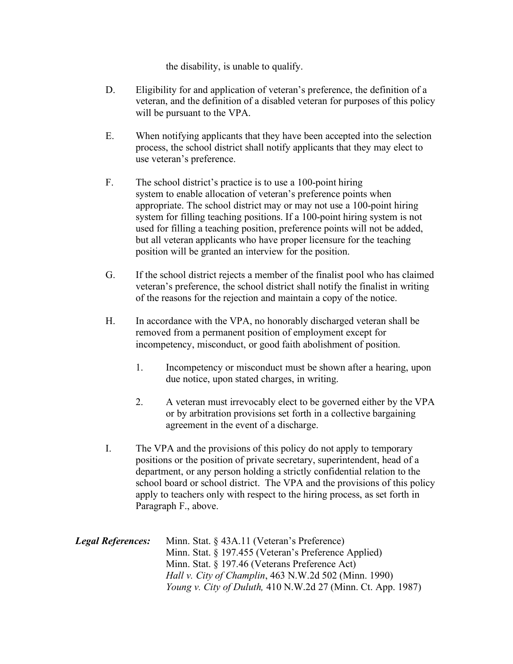the disability, is unable to qualify.

- D. Eligibility for and application of veteran's preference, the definition of a veteran, and the definition of a disabled veteran for purposes of this policy will be pursuant to the VPA.
- E. When notifying applicants that they have been accepted into the selection process, the school district shall notify applicants that they may elect to use veteran's preference.
- F. The school district's practice is to use a 100-point hiring system to enable allocation of veteran's preference points when appropriate. The school district may or may not use a 100-point hiring system for filling teaching positions. If a 100-point hiring system is not used for filling a teaching position, preference points will not be added, but all veteran applicants who have proper licensure for the teaching position will be granted an interview for the position.
- G. If the school district rejects a member of the finalist pool who has claimed veteran's preference, the school district shall notify the finalist in writing of the reasons for the rejection and maintain a copy of the notice.
- H. In accordance with the VPA, no honorably discharged veteran shall be removed from a permanent position of employment except for incompetency, misconduct, or good faith abolishment of position.
	- 1. Incompetency or misconduct must be shown after a hearing, upon due notice, upon stated charges, in writing.
	- 2. A veteran must irrevocably elect to be governed either by the VPA or by arbitration provisions set forth in a collective bargaining agreement in the event of a discharge.
- I. The VPA and the provisions of this policy do not apply to temporary positions or the position of private secretary, superintendent, head of a department, or any person holding a strictly confidential relation to the school board or school district. The VPA and the provisions of this policy apply to teachers only with respect to the hiring process, as set forth in Paragraph F., above.

*Legal References:* Minn. Stat. § 43A.11 (Veteran's Preference) Minn. Stat. § 197.455 (Veteran's Preference Applied) Minn. Stat. § 197.46 (Veterans Preference Act) *Hall v. City of Champlin*, 463 N.W.2d 502 (Minn. 1990) *Young v. City of Duluth,* 410 N.W.2d 27 (Minn. Ct. App. 1987)